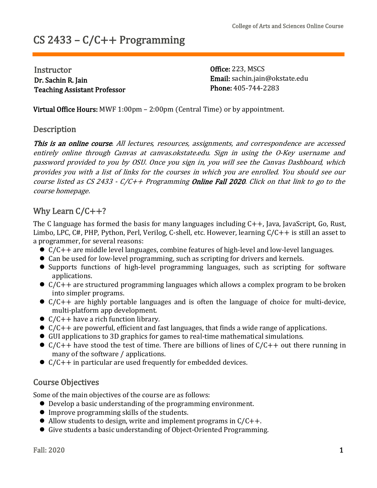# CS 2433 – C/C++ Programming

**Instructor** Dr. Sachin R. Jain Teaching Assistant Professor Office: 223, MSCS Email: [sachin.jain@okstate.edu](mailto:sachin.jain@okstate.edu) Phone: 405-744-2283

Virtual Office Hours: MWF 1:00pm – 2:00pm (Central Time) or by appointment.

#### **Description**

This is an online course. All lectures, resources, assignments, and correspondence are accessed entirely online through Canvas at canvas.okstate.edu. Sign in using the O-Key username and password provided to you by OSU. Once you sign in, you will see the Canvas Dashboard, which provides you with <sup>a</sup> list of links for the courses in which you are enrolled. You should see our course listed as CS 2433 -  $C/C++$  Programming **Online Fall 2020**. Click on that link to go to the course homepage.

## Why Learn C/C++?

The C language has formed the basis for many languages including C++, Java, JavaScript, Go, Rust, Limbo, LPC, C#, PHP, Python, Perl, Verilog, C-shell, etc. However, learning C/C++ is still an asset to a programmer, for several reasons:<br>  $\bullet$  C/C++ are middle level languages, combine features of high-level and low-level languages.

- 
- 
- Can be used for low-level programming, such as scripting for drivers and kernels.<br>• Supports functions of high-level programming languages, such as scripting for software applications.
- $\bullet$  C/C++ are structured programming languages which allows a complex program to be broken into simpler programs.
- $\bullet$  C/C++ are highly portable languages and is often the language of choice for multi-device, multi-platform app development.
- 
- 
- 
- $C/C++$  have a rich function library.<br>
  $C/C++$  are powerful, efficient and fast languages, that finds a wide range of applications.<br>
 GUI applications to 3D graphics for games to real-time mathematical simulations.<br>
  $C$
- $\bullet$  C/C++ in particular are used frequently for embedded devices.

#### Course Objectives

- Some of the main objectives of the course are as follows:<br>
 Develop a basic understanding of the programming environment.
	-
	- Improve programming skills of the students.<br>• Allow students to design, write and implement programs in  $C/C++$ .<br>• Give students a basic understanding of Object-Oriented Programming.
	-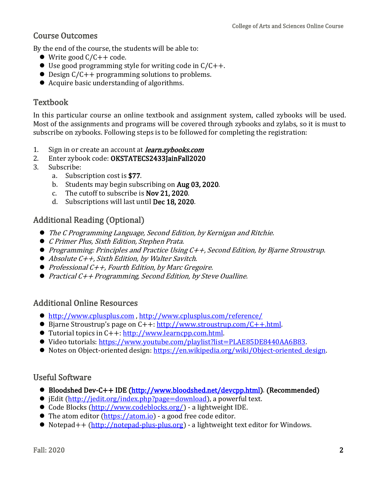## Course Outcomes

By the end of the course, the students will be able to:<br>
• Write good  $C/C++$  code.

- 
- 
- <ul>\n<li>■ Use good programming style for writing code in <math>C/C++</math>.</li>\n<li>■ Design <math>C/C++</math> programming solutions to problems.</li>\n<li>■ Acquire basic understanding of algorithms.</li>\n</ul>
- 

## Textbook

In this particular course an online textbook and assignment system, called zybooks will be used. Most of the assignments and programs will be covered through zybooks and zylabs, so it is must to subscribe on zybooks. Following steps is to be followed for completing the registration:

- 1. Sign in or create an account at *learn.zybooks.com*<br>2. Enter zybook code: **OKSTATECS2433IainFall2020**
- 2. Enter zybook code: OKSTATECS2433JainFall2020<br>3. Subscribe:
- 3. Subscribe:
	- a. Subscription cost is \$77.
	- b. Students may begin subscribing on Aug 03, 2020.
	- c. The cutoff to subscribe is Nov 21, 2020.
	- d. Subscriptions will last until Dec 18, 2020.

## Additional Reading (Optional)

- The <sup>C</sup> Programming Language, Second Edition, by Kernigan and Ritchie.
- <sup>C</sup> Primer Plus, Sixth Edition, Stephen Prata.
- Programming: Principles and Practice Using C++, Second Edition, by Bjarne Stroustrup.
- *Absolute C++, Sixth Edition, by Walter Savitch.*
- Professional C++, Fourth Edition, by Marc Gregoire.
- *Practical C++ Programming, Second Edition, by Steve Oualline.*

#### Additional Online Resources

- 
- <u><http://www.cplusplus.com></u> , <u><http://www.cplusplus.com/reference/></u><br>● Bjarne Stroustrup's page on C++: <u>http://www.stroustrup.com/C++.html</u>.
- 
- <ul>\n<li>• Tutorial topics in C++: <a href="[http://www.learncpp.com](http://www.learncpp.com/).html">http://www.learncpp.com.html</a>.</li>\n<li>• Video tutorials: <a href="https://www.youtube.com/playlist?list=PLAE85DE8440AA6B83">https://www.youtube.com/playlist?list=PLAE85DE8440AA6B83</a>.</li>\n<li>• Notes on Object-oriented design: <a href="https://en.wikipedia.org/wiki/Object-oriented design">https://en.wikipedia.org/wiki/Object-oriented design</a>.</li>\n</ul>
- 

#### Useful Software

- Bloodshed Dev-C++ IDE (<http://www.bloodshed.net/devcpp.html>). (Recommended)<br>● jEdit (http://jedit.org/index.php?page=download), a powerful text.
- 
- 
- 
- <ul>\n<li> Code Blocks (<a href="http://www.codeblocks.org/">http://www.codeblocks.org/</a>) a lightweight IDE.</li>\n<li>  The atom editor (<a href="https://atom.io">https://atom.io</a>) a good free code editor.</li>\n<li>  Notepad++ (<a href="http://notepad-plus.org">http://notepad-plus.org</a>) a lightweight text editor for Windows.</li>\n</ul>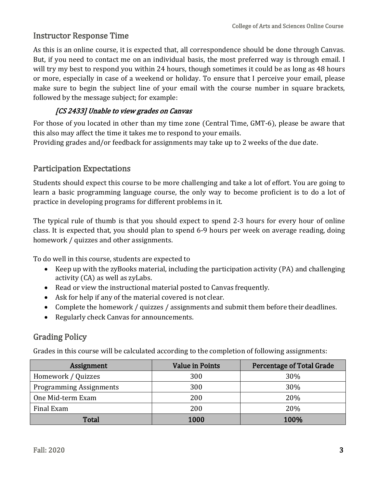#### Instructor Response Time

As this is an online course, it is expected that, all correspondence should be done through Canvas. But, if you need to contact me on an individual basis, the most preferred way is through email. I will try my best to respond you within 24 hours, though sometimes it could be as long as 48 hours or more, especially in case of a weekend or holiday. To ensure that I perceive your email, please make sure to begin the subject line of your email with the course number in square brackets, followed by the message subject; for example:

#### [CS 2433] Unable to view grades on Canvas

For those of you located in other than my time zone (Central Time, GMT-6), please be aware that this also may affect the time it takes me to respond to your emails.

Providing grades and/or feedback for assignments may take up to 2 weeks of the due date.

## Participation Expectations

Students should expect this course to be more challenging and take a lot of effort. You are going to learn a basic programming language course, the only way to become proficient is to do a lot of practice in developing programs for different problems in it.

The typical rule of thumb is that you should expect to spend 2-3 hours for every hour of online class. It is expected that, you should plan to spend 6-9 hours per week on average reading, doing homework / quizzes and other assignments.

To do well in this course, students are expected to

- Keep up with the zyBooks material, including the participation activity (PA) and challenging activity (CA) as well as zyLabs.
- Read or view the instructional material posted to Canvas frequently.
- Ask for help if any of the material covered is not clear.
- Complete the homework / quizzes / assignments and submit them before their deadlines.
- Regularly check Canvas for announcements.

## Grading Policy

Grades in this course will be calculated according to the completion of following assignments:

| Assignment                     | <b>Value in Points</b> | <b>Percentage of Total Grade</b> |
|--------------------------------|------------------------|----------------------------------|
| Homework / Quizzes             | 300                    | 30%                              |
| <b>Programming Assignments</b> | 300                    | 30%                              |
| One Mid-term Exam              | 200                    | 20%                              |
| Final Exam                     | 200                    | 20%                              |
| Total                          | 1000                   | 100%                             |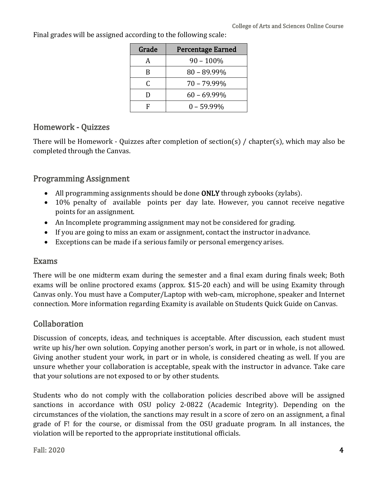| Grade | <b>Percentage Earned</b> |
|-------|--------------------------|
| A     | $90 - 100\%$             |
| B     | $80 - 89.99\%$           |
|       | $70 - 79.99\%$           |
|       | $60 - 69.99\%$           |
| F     | $0 - 59.99\%$            |

Final grades will be assigned according to the following scale:

## Homework - Quizzes

There will be Homework - Quizzes after completion of section(s) / chapter(s), which may also be completed through the Canvas.

## Programming Assignment

- 
- All programming assignments should be done **ONLY** through zybooks (zylabs).<br>
 10% penalty of available points per day late. However, you cannot receive negative points for an assignment.
- An Incomplete programming assignment may not be considered for grading.
- If you are going to miss an exam or assignment, contact the instructor inadvance.
- Exceptions can be made if a serious family or personal emergency arises.

#### Exams

There will be one midterm exam during the semester and a final exam during finals week; Both exams will be online proctored exams (approx. \$15-20 each) and will be using Examity through Canvas only. You must have a Computer/Laptop with web-cam, microphone, speaker and Internet connection. More information regarding Examity is available on Students Quick Guide on Canvas.

## Collaboration

Discussion of concepts, ideas, and techniques is acceptable. After discussion, each student must write up his/her own solution. Copying another person's work, in part or in whole, is not allowed. Giving another student your work, in part or in whole, is considered cheating as well. If you are unsure whether your collaboration is acceptable, speak with the instructor in advance. Take care that your solutions are not exposed to or by other students.

Students who do not comply with the collaboration policies described above will be assigned sanctions in accordance with OSU policy 2-0822 (Academic Integrity). Depending on the circumstances of the violation, the sanctions may result in a score of zero on an assignment, a final grade of F! for the course, or dismissal from the OSU graduate program. In all instances, the violation will be reported to the appropriate institutional officials.